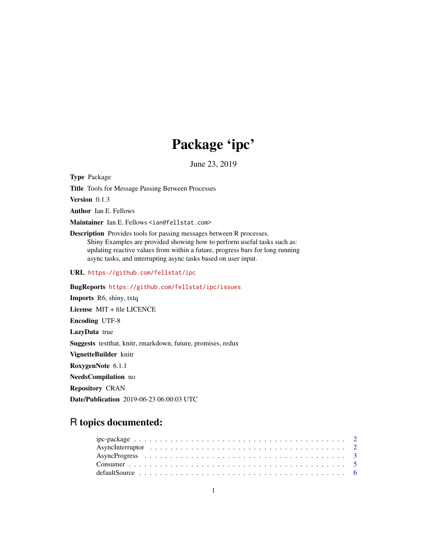# Package 'ipc'

June 23, 2019

Type Package

Title Tools for Message Passing Between Processes

Version 0.1.3

Author Ian E. Fellows

Maintainer Ian E. Fellows <ian@fellstat.com>

Description Provides tools for passing messages between R processes. Shiny Examples are provided showing how to perform useful tasks such as: updating reactive values from within a future, progress bars for long running async tasks, and interrupting async tasks based on user input.

URL <https://github.com/fellstat/ipc>

BugReports <https://github.com/fellstat/ipc/issues>

Imports R6, shiny, txtq License MIT + file LICENCE Encoding UTF-8 LazyData true Suggests testthat, knitr, rmarkdown, future, promises, redux VignetteBuilder knitr RoxygenNote 6.1.1 NeedsCompilation no Repository CRAN Date/Publication 2019-06-23 06:00:03 UTC

## R topics documented: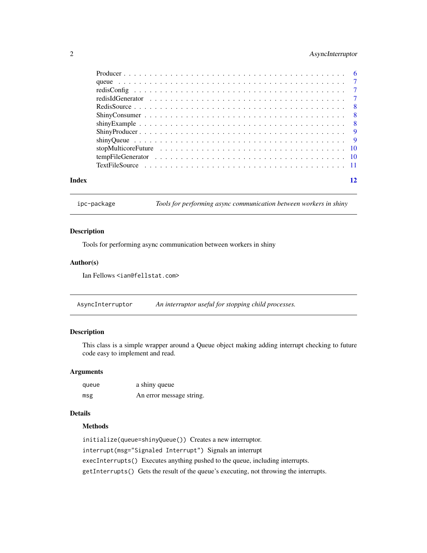#### <span id="page-1-0"></span>2 AsyncInterruptor

| Index | 12 |  |
|-------|----|--|

ipc-package *Tools for performing async communication between workers in shiny*

#### Description

Tools for performing async communication between workers in shiny

#### Author(s)

Ian Fellows <ian@fellstat.com>

AsyncInterruptor *An interruptor useful for stopping child processes.*

#### Description

This class is a simple wrapper around a Queue object making adding interrupt checking to future code easy to implement and read.

#### Arguments

| queue | a shiny queue            |
|-------|--------------------------|
| msg   | An error message string. |

#### Details

#### Methods

```
initialize(queue=shinyQueue()) Creates a new interruptor.
interrupt(msg="Signaled Interrupt") Signals an interrupt
execInterrupts() Executes anything pushed to the queue, including interrupts.
getInterrupts() Gets the result of the queue's executing, not throwing the interrupts.
```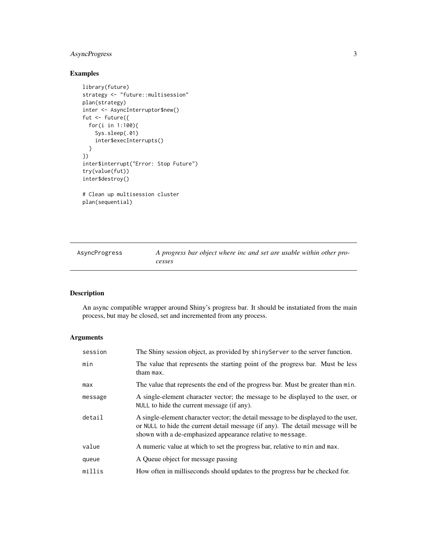#### <span id="page-2-0"></span>AsyncProgress 3

### Examples

```
library(future)
strategy <- "future::multisession"
plan(strategy)
inter <- AsyncInterruptor$new()
fut <- future({
 for(i in 1:100){
   Sys.sleep(.01)
    inter$execInterrupts()
  }
})
inter$interrupt("Error: Stop Future")
try(value(fut))
inter$destroy()
# Clean up multisession cluster
plan(sequential)
```

| AsyncProgress | A progress bar object where inc and set are usable within other pro- |
|---------------|----------------------------------------------------------------------|
|               | cesses                                                               |

#### Description

An async compatible wrapper around Shiny's progress bar. It should be instatiated from the main process, but may be closed, set and incremented from any process.

#### Arguments

| session | The Shiny session object, as provided by shiny Server to the server function.                                                                                                                                                       |
|---------|-------------------------------------------------------------------------------------------------------------------------------------------------------------------------------------------------------------------------------------|
| min     | The value that represents the starting point of the progress bar. Must be less<br>tham max.                                                                                                                                         |
| max     | The value that represents the end of the progress bar. Must be greater than min.                                                                                                                                                    |
| message | A single-element character vector; the message to be displayed to the user, or<br>NULL to hide the current message (if any).                                                                                                        |
| detail  | A single-element character vector; the detail message to be displayed to the user,<br>or NULL to hide the current detail message (if any). The detail message will be<br>shown with a de-emphasized appearance relative to message. |
| value   | A numeric value at which to set the progress bar, relative to min and max.                                                                                                                                                          |
| queue   | A Queue object for message passing                                                                                                                                                                                                  |
| millis  | How often in milliseconds should updates to the progress bar be checked for.                                                                                                                                                        |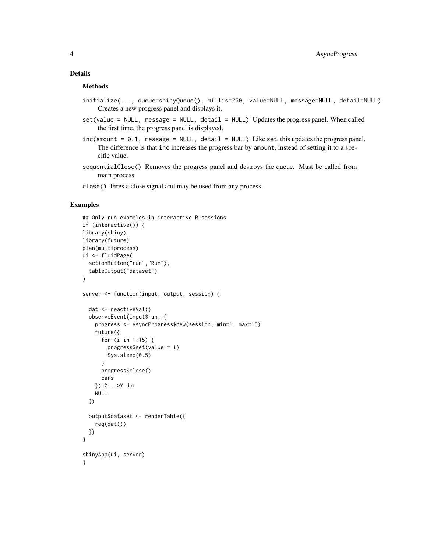#### Details

#### Methods

- initialize(..., queue=shinyQueue(), millis=250, value=NULL, message=NULL, detail=NULL) Creates a new progress panel and displays it.
- set(value = NULL, message = NULL, detail = NULL) Updates the progress panel. When called the first time, the progress panel is displayed.
- inc(amount = 0.1, message = NULL, detail = NULL) Like set, this updates the progress panel. The difference is that inc increases the progress bar by amount, instead of setting it to a specific value.
- sequentialClose() Removes the progress panel and destroys the queue. Must be called from main process.
- close() Fires a close signal and may be used from any process.

#### Examples

```
## Only run examples in interactive R sessions
if (interactive()) {
library(shiny)
library(future)
plan(multiprocess)
ui <- fluidPage(
  actionButton("run","Run"),
  tableOutput("dataset")
\lambdaserver <- function(input, output, session) {
  dat <- reactiveVal()
  observeEvent(input$run, {
   progress <- AsyncProgress$new(session, min=1, max=15)
    future({
      for (i in 1:15) {
       progress$set(value = i)
       Sys.sleep(0.5)
      }
      progress$close()
      cars
   }) %...>% dat
   NULL
  })
  output$dataset <- renderTable({
    req(dat())
  })
}
shinyApp(ui, server)
}
```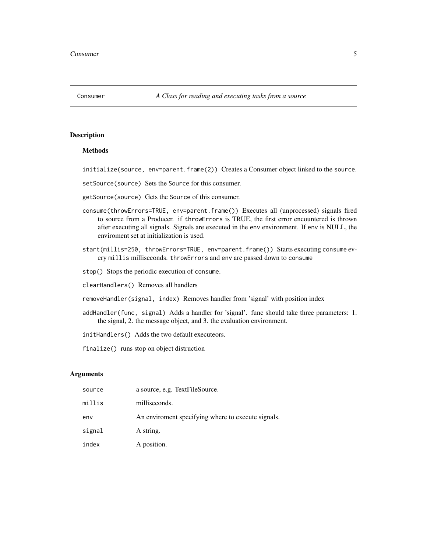<span id="page-4-0"></span>

#### Methods

initialize(source, env=parent.frame(2)) Creates a Consumer object linked to the source.

setSource(source) Sets the Source for this consumer.

getSource(source) Gets the Source of this consumer.

- consume(throwErrors=TRUE, env=parent.frame()) Executes all (unprocessed) signals fired to source from a Producer. if throwErrors is TRUE, the first error encountered is thrown after executing all signals. Signals are executed in the env environment. If env is NULL, the enviroment set at initialization is used.
- start(millis=250, throwErrors=TRUE, env=parent.frame()) Starts executing consume every millis milliseconds. throwErrors and env are passed down to consume

stop() Stops the periodic execution of consume.

clearHandlers() Removes all handlers

- removeHandler(signal, index) Removes handler from 'signal' with position index
- addHandler(func, signal) Adds a handler for 'signal'. func should take three parameters: 1. the signal, 2. the message object, and 3. the evaluation environment.

initHandlers() Adds the two default executeors.

finalize() runs stop on object distruction

#### Arguments

| source | a source, e.g. TextFileSource.                     |
|--------|----------------------------------------------------|
| millis | milliseconds.                                      |
| env    | An enviroment specifying where to execute signals. |
| signal | A string.                                          |
| index  | A position.                                        |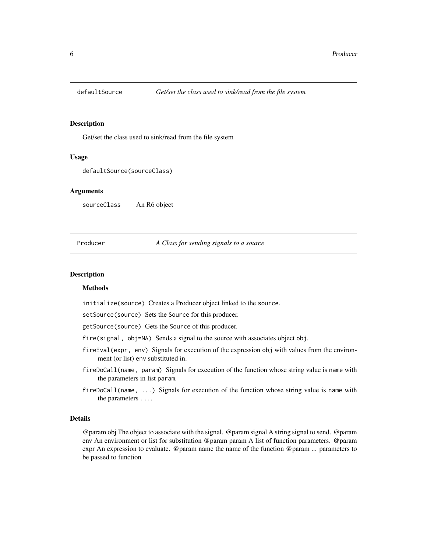<span id="page-5-0"></span>

Get/set the class used to sink/read from the file system

#### Usage

defaultSource(sourceClass)

#### Arguments

sourceClass An R6 object

#### Producer *A Class for sending signals to a source*

#### **Description**

#### Methods

initialize(source) Creates a Producer object linked to the source.

setSource(source) Sets the Source for this producer.

getSource(source) Gets the Source of this producer.

fire(signal, obj=NA) Sends a signal to the source with associates object obj.

- fireEval(expr, env) Signals for execution of the expression obj with values from the environment (or list) env substituted in.
- fireDoCall(name, param) Signals for execution of the function whose string value is name with the parameters in list param.
- fireDoCall(name, ...) Signals for execution of the function whose string value is name with the parameters ....

#### Details

@param obj The object to associate with the signal. @param signal A string signal to send. @param env An environment or list for substitution @param param A list of function parameters. @param expr An expression to evaluate. @param name the name of the function @param ... parameters to be passed to function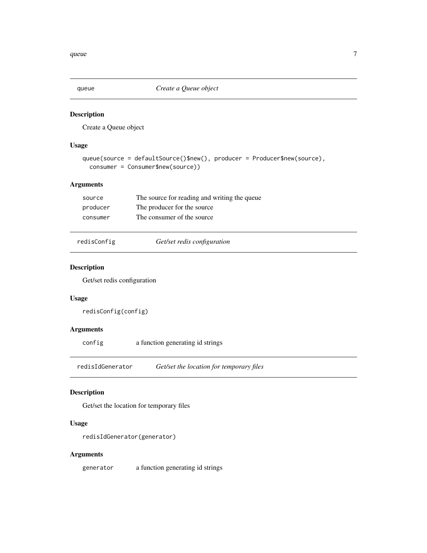<span id="page-6-0"></span>

Create a Queue object

#### Usage

```
queue(source = defaultSource()$new(), producer = Producer$new(source),
  consumer = Consumer$new(source))
```
#### Arguments

| source   | The source for reading and writing the queue |
|----------|----------------------------------------------|
| producer | The producer for the source                  |
| consumer | The consumer of the source                   |

redisConfig *Get/set redis configuration*

#### Description

Get/set redis configuration

#### Usage

redisConfig(config)

#### Arguments

```
config a function generating id strings
```
redisIdGenerator *Get/set the location for temporary files*

#### Description

Get/set the location for temporary files

#### Usage

```
redisIdGenerator(generator)
```
#### Arguments

generator a function generating id strings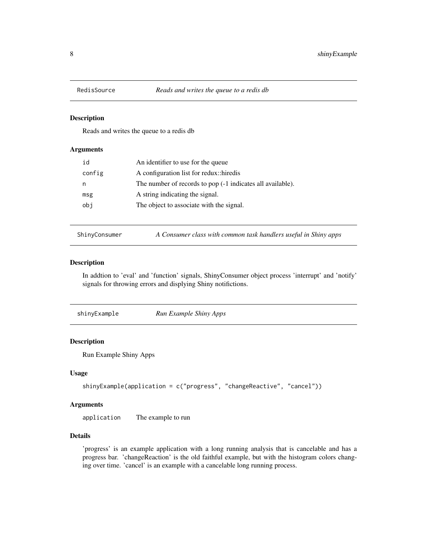<span id="page-7-0"></span>

Reads and writes the queue to a redis db

#### Arguments

| id     | An identifier to use for the queue                            |
|--------|---------------------------------------------------------------|
| config | A configuration list for redux: hiredis                       |
| n      | The number of records to pop $(-1)$ indicates all available). |
| msg    | A string indicating the signal.                               |
| obj    | The object to associate with the signal.                      |
|        |                                                               |

ShinyConsumer *A Consumer class with common task handlers useful in Shiny apps*

#### Description

In addtion to 'eval' and 'function' signals, ShinyConsumer object process 'interrupt' and 'notify' signals for throwing errors and displying Shiny notifictions.

| Run Example Shiny Apps<br>shinyExample |
|----------------------------------------|
|----------------------------------------|

#### Description

Run Example Shiny Apps

#### Usage

```
shinyExample(application = c("progress", "changeReactive", "cancel"))
```
#### Arguments

application The example to run

#### Details

'progress' is an example application with a long running analysis that is cancelable and has a progress bar. 'changeReaction' is the old faithful example, but with the histogram colors changing over time. 'cancel' is an example with a cancelable long running process.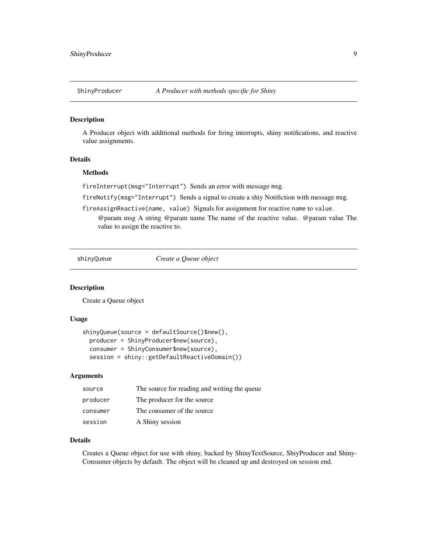<span id="page-8-0"></span>

A Producer object with additional methods for firing interrupts, shiny notifications, and reactive value assignments.

#### Details

#### Methods

fireInterrupt(msg="Interrupt") Sends an error with message msg.

fireNotify(msg="Interrupt") Sends a signal to create a shiy Notifiction with message msg.

fireAssignReactive(name, value) Signals for assignment for reactive name to value.

@param msg A string @param name The name of the reactive value. @param value The value to assign the reactive to.

shinyQueue *Create a Queue object*

#### **Description**

Create a Queue object

#### Usage

```
shinyQueue(source = defaultSource()$new(),
 producer = ShinyProducer$new(source),
 consumer = ShinyConsumer$new(source),
  session = shiny::getDefaultReactiveDomain())
```
#### Arguments

| source   | The source for reading and writing the queue |
|----------|----------------------------------------------|
| producer | The producer for the source                  |
| consumer | The consumer of the source                   |
| session  | A Shiny session                              |

#### Details

Creates a Queue object for use with shiny, backed by ShinyTextSource, ShiyProducer and Shiny-Consumer objects by default. The object will be cleaned up and destroyed on session end.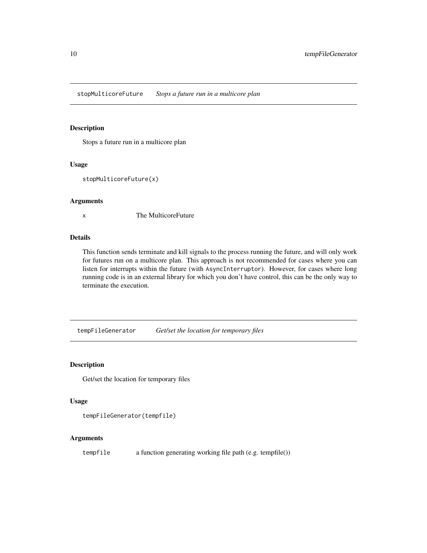<span id="page-9-0"></span>stopMulticoreFuture *Stops a future run in a multicore plan*

#### Description

Stops a future run in a multicore plan

#### Usage

```
stopMulticoreFuture(x)
```
#### Arguments

x The MulticoreFuture

#### Details

This function sends terminate and kill signals to the process running the future, and will only work for futures run on a multicore plan. This approach is not recommended for cases where you can listen for interrupts within the future (with AsyncInterruptor). However, for cases where long running code is in an external library for which you don't have control, this can be the only way to terminate the execution.

tempFileGenerator *Get/set the location for temporary files*

#### Description

Get/set the location for temporary files

#### Usage

```
tempFileGenerator(tempfile)
```
#### Arguments

tempfile a function generating working file path (e.g. tempfile())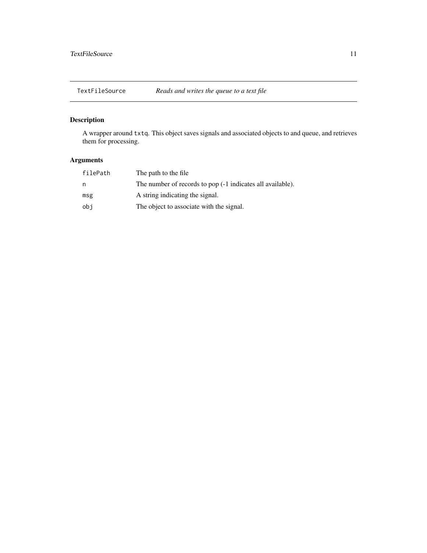<span id="page-10-0"></span>

A wrapper around txtq. This object saves signals and associated objects to and queue, and retrieves them for processing.

### Arguments

| filePath | The path to the file.                                      |
|----------|------------------------------------------------------------|
| n        | The number of records to pop (-1 indicates all available). |
| msg      | A string indicating the signal.                            |
| obj      | The object to associate with the signal.                   |